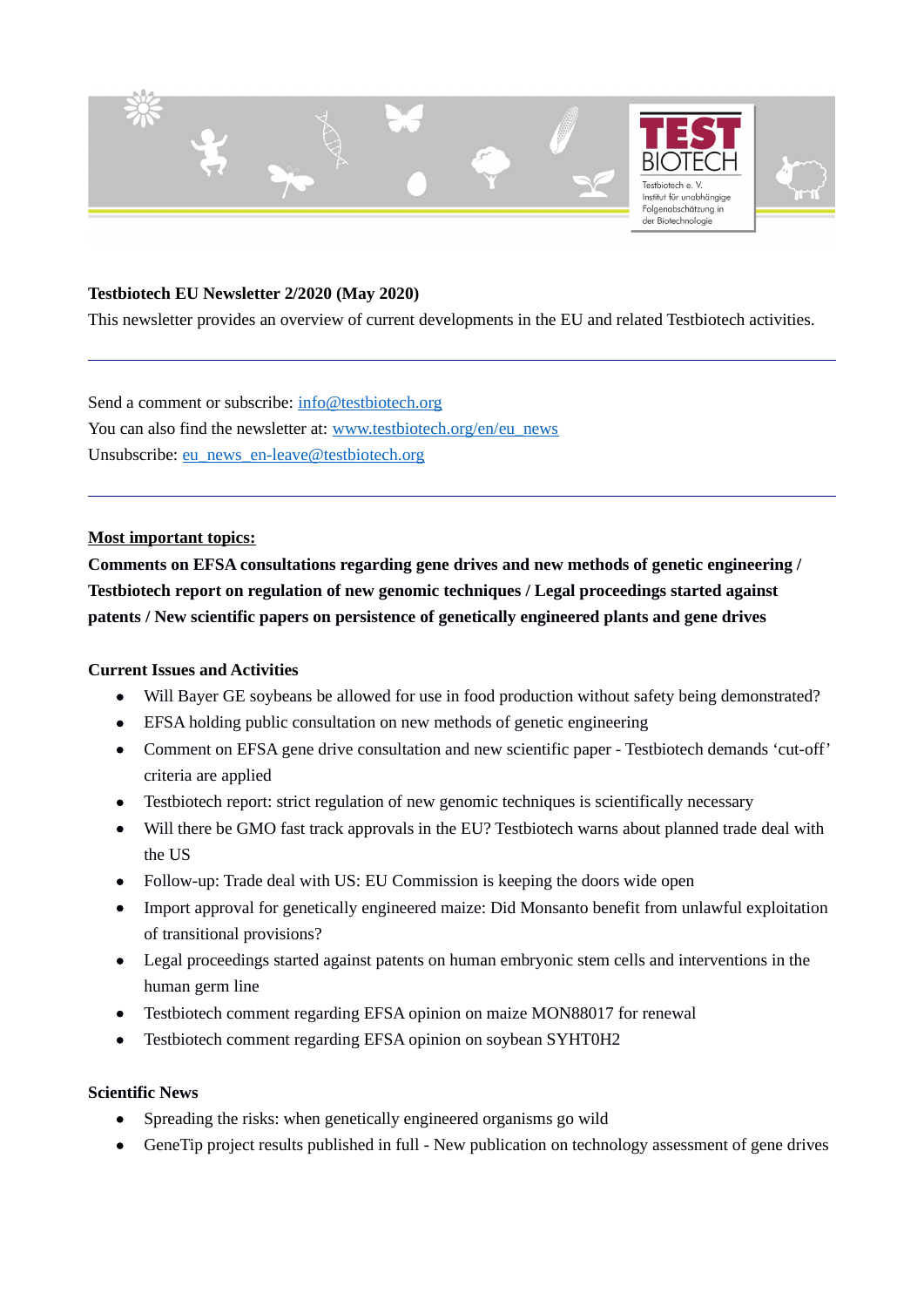

### **Testbiotech EU Newsletter 2/2020 (May 2020)**

This newsletter provides an overview of current developments in the EU and related Testbiotech activities.

Send a comment or subscribe: [info@testbiotech.org](mailto:info@testbiotech.org) You can also find the newsletter at: [www.testbiotech.org/en/eu\\_news](http://www.testbiotech.org/en/eu_news) Unsubscribe: [eu\\_news\\_en-leave@testbiotech.org](mailto:eu_news_en-leave@testbiotech.org)

#### **Most important topics:**

**Comments on EFSA consultations regarding gene drives and new methods of genetic engineering / Testbiotech report on regulation of new genomic techniques / Legal proceedings started against patents / New scientific papers on persistence of genetically engineered plants and gene drives**

#### **Current Issues and Activities**

- Will Bayer GE soybeans be allowed for use in food production without safety being demonstrated?
- EFSA holding public consultation on new methods of genetic engineering
- Comment on EFSA gene drive consultation and new scientific paper Testbiotech demands 'cut-off' criteria are applied
- Testbiotech report: strict regulation of new genomic techniques is scientifically necessary
- Will there be GMO fast track approvals in the EU? Testbiotech warns about planned trade deal with the US
- Follow-up: Trade deal with US: EU Commission is keeping the doors wide open
- Import approval for genetically engineered maize: Did Monsanto benefit from unlawful exploitation of transitional provisions?
- Legal proceedings started against patents on human embryonic stem cells and interventions in the human germ line
- Testbiotech comment regarding EFSA opinion on maize MON88017 for renewal
- Testbiotech comment regarding EFSA opinion on soybean SYHT0H2

### **Scientific News**

- Spreading the risks: when genetically engineered organisms go wild
- GeneTip project results published in full New publication on technology assessment of gene drives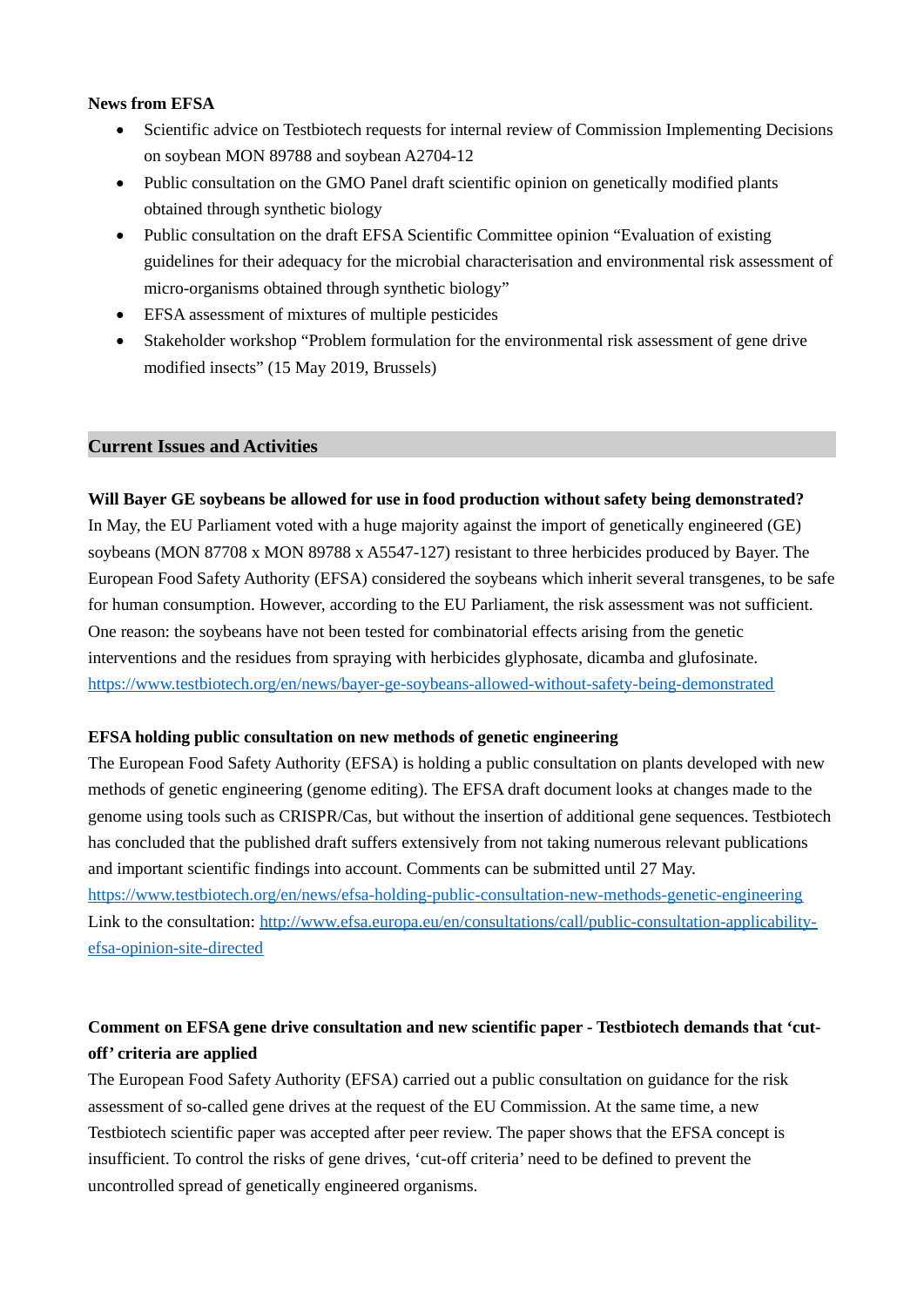### **News from EFSA**

- Scientific advice on Testbiotech requests for internal review of Commission Implementing Decisions on soybean MON 89788 and soybean A2704‐12
- Public consultation on the GMO Panel draft scientific opinion on genetically modified plants obtained through synthetic biology
- Public consultation on the draft EFSA Scientific Committee opinion "Evaluation of existing guidelines for their adequacy for the microbial characterisation and environmental risk assessment of micro-organisms obtained through synthetic biology"
- EFSA assessment of mixtures of multiple pesticides
- Stakeholder workshop "Problem formulation for the environmental risk assessment of gene drive modified insects" (15 May 2019, Brussels)

### **Current Issues and Activities**

### **Will Bayer GE soybeans be allowed for use in food production without safety being demonstrated?**

In May, the EU Parliament voted with a huge majority against the import of genetically engineered (GE) soybeans (MON 87708 x MON 89788 x A5547-127) resistant to three herbicides produced by Bayer. The European Food Safety Authority (EFSA) considered the soybeans which inherit several transgenes, to be safe for human consumption. However, according to the EU Parliament, the risk assessment was not sufficient. One reason: the soybeans have not been tested for combinatorial effects arising from the genetic interventions and the residues from spraying with herbicides glyphosate, dicamba and glufosinate. <https://www.testbiotech.org/en/news/bayer-ge-soybeans-allowed-without-safety-being-demonstrated>

#### **EFSA holding public consultation on new methods of genetic engineering**

The European Food Safety Authority (EFSA) is holding a public consultation on plants developed with new methods of genetic engineering (genome editing). The EFSA draft document looks at changes made to the genome using tools such as CRISPR/Cas, but without the insertion of additional gene sequences. Testbiotech has concluded that the published draft suffers extensively from not taking numerous relevant publications and important scientific findings into account. Comments can be submitted until 27 May.

<https://www.testbiotech.org/en/news/efsa-holding-public-consultation-new-methods-genetic-engineering> Link to the consultation: [http://www.efsa.europa.eu/en/consultations/call/public-consultation-applicability](http://www.efsa.europa.eu/en/consultations/call/public-consultation-applicability-efsa-opinion-site-directed)[efsa-opinion-site-directed](http://www.efsa.europa.eu/en/consultations/call/public-consultation-applicability-efsa-opinion-site-directed) 

## **Comment on EFSA gene drive consultation and new scientific paper - Testbiotech demands that 'cutoff' criteria are applied**

The European Food Safety Authority (EFSA) carried out a public consultation on guidance for the risk assessment of so-called gene drives at the request of the EU Commission. At the same time, a new Testbiotech scientific paper was accepted after peer review. The paper shows that the EFSA concept is insufficient. To control the risks of gene drives, 'cut-off criteria' need to be defined to prevent the uncontrolled spread of genetically engineered organisms.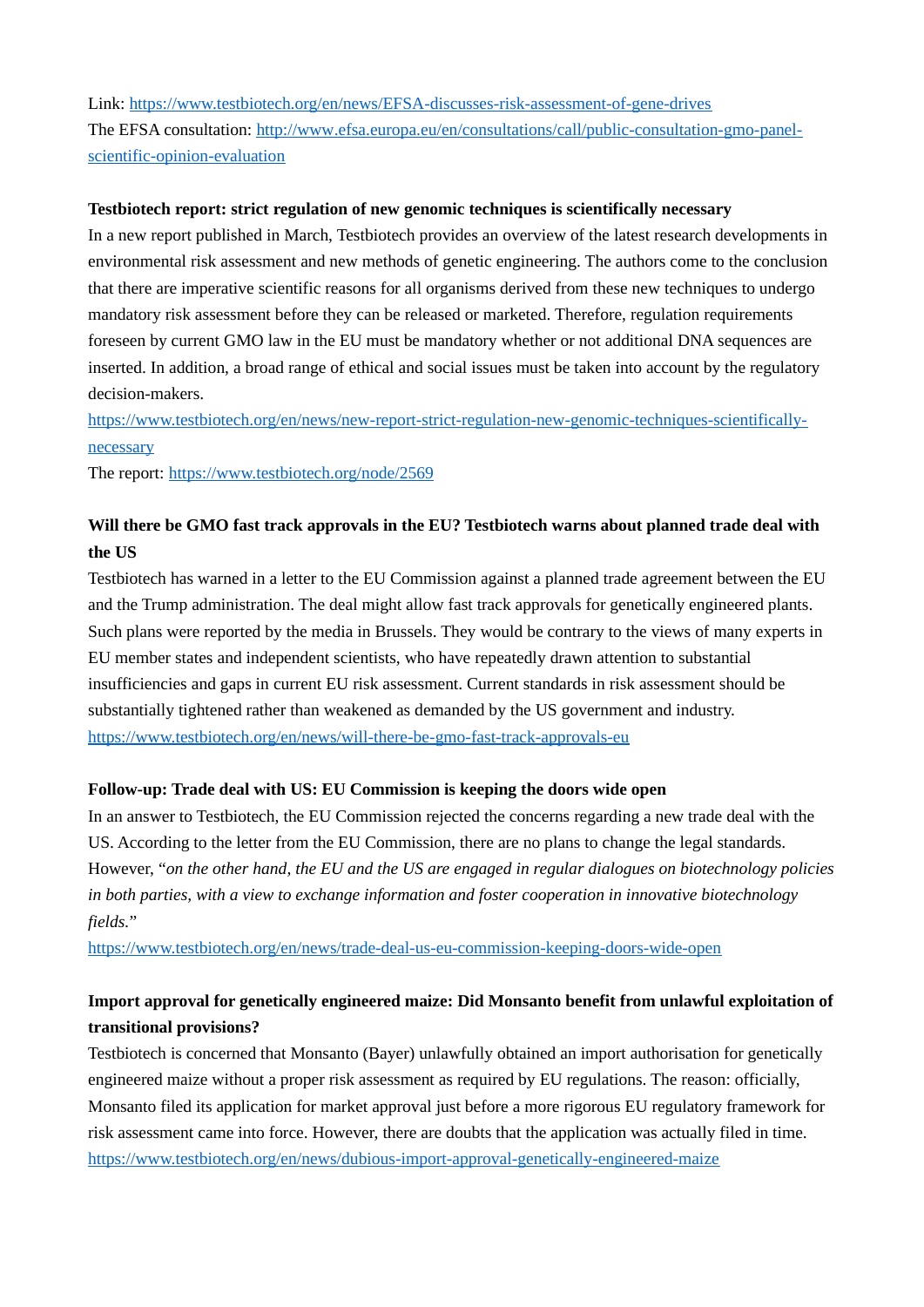Link:<https://www.testbiotech.org/en/news/EFSA-discusses-risk-assessment-of-gene-drives> The EFSA consultation: [http://www](http://wwwLink/) [.efsa.europa.eu/en/consultations/call/public-consultation-gmo-panel](http://www.efsa.europa.eu/en/consultations/call/public-consultation-gmo-panel-scientific-opinion-evaluation)[scientific-opinion-evaluation](http://www.efsa.europa.eu/en/consultations/call/public-consultation-gmo-panel-scientific-opinion-evaluation)

### **Testbiotech report: strict regulation of new genomic techniques is scientifically necessary**

In a new report published in March, Testbiotech provides an overview of the latest research developments in environmental risk assessment and new methods of genetic engineering. The authors come to the conclusion that there are imperative scientific reasons for all organisms derived from these new techniques to undergo mandatory risk assessment before they can be released or marketed. Therefore, regulation requirements foreseen by current GMO law in the EU must be mandatory whether or not additional DNA sequences are inserted. In addition, a broad range of ethical and social issues must be taken into account by the regulatory decision-makers.

[https://www.testbiotech.org/en/news/new-report-strict-regulation-new-genomic-techniques-scientifically](https://www.testbiotech.org/en/news/new-report-strict-regulation-new-genomic-techniques-scientifically-necessary)[necessary](https://www.testbiotech.org/en/news/new-report-strict-regulation-new-genomic-techniques-scientifically-necessary)

The report: <https://www.testbiotech.org/node/2569>

## **Will there be GMO fast track approvals in the EU? Testbiotech warns about planned trade deal with the US**

Testbiotech has warned in a letter to the EU Commission against a planned trade agreement between the EU and the Trump administration. The deal might allow fast track approvals for genetically engineered plants. Such plans were reported by the media in Brussels. They would be contrary to the views of many experts in EU member states and independent scientists, who have repeatedly drawn attention to substantial insufficiencies and gaps in current EU risk assessment. Current standards in risk assessment should be substantially tightened rather than weakened as demanded by the US government and industry. <https://www.testbiotech.org/en/news/will-there-be-gmo-fast-track-approvals-eu>

### **Follow-up: Trade deal with US: EU Commission is keeping the doors wide open**

In an answer to Testbiotech, the EU Commission rejected the concerns regarding a new trade deal with the US. According to the letter from the EU Commission, there are no plans to change the legal standards. However, "*on the other hand, the EU and the US are engaged in regular dialogues on biotechnology policies in both parties, with a view to exchange information and foster cooperation in innovative biotechnology fields.*"

<https://www.testbiotech.org/en/news/trade-deal-us-eu-commission-keeping-doors-wide-open>

## **Import approval for genetically engineered maize: Did Monsanto benefit from unlawful exploitation of transitional provisions?**

Testbiotech is concerned that Monsanto (Bayer) unlawfully obtained an import authorisation for genetically engineered maize without a proper risk assessment as required by EU regulations. The reason: officially, Monsanto filed its application for market approval just before a more rigorous EU regulatory framework for risk assessment came into force. However, there are doubts that the application was actually filed in time. <https://www.testbiotech.org/en/news/dubious-import-approval-genetically-engineered-maize>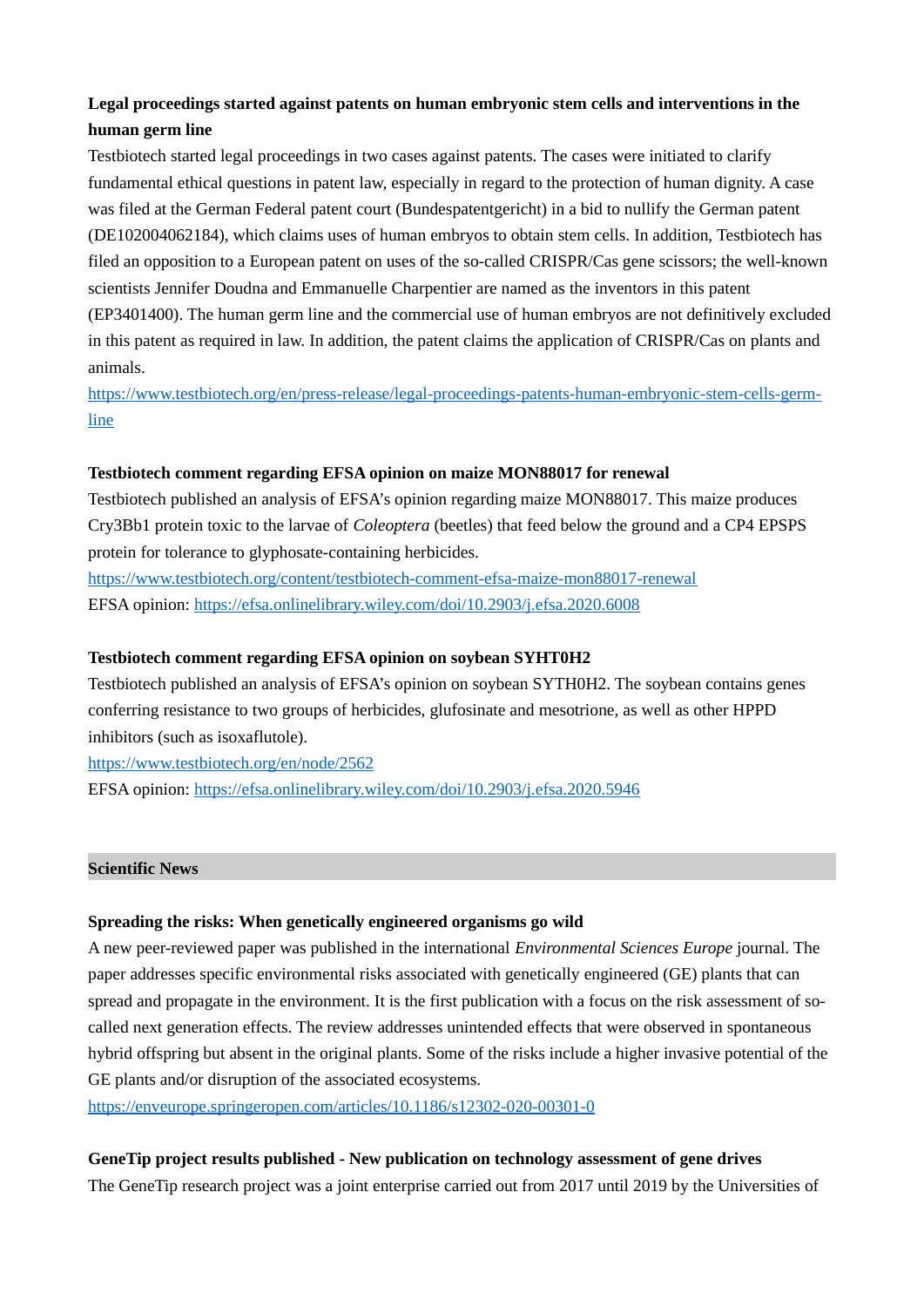## **Legal proceedings started against patents on human embryonic stem cells and interventions in the human germ line**

Testbiotech started legal proceedings in two cases against patents. The cases were initiated to clarify fundamental ethical questions in patent law, especially in regard to the protection of human dignity. A case was filed at the German Federal patent court (Bundespatentgericht) in a bid to nullify the German patent (DE102004062184), which claims uses of human embryos to obtain stem cells. In addition, Testbiotech has filed an opposition to a European patent on uses of the so-called CRISPR/Cas gene scissors; the well-known scientists Jennifer Doudna and Emmanuelle Charpentier are named as the inventors in this patent (EP3401400). The human germ line and the commercial use of human embryos are not definitively excluded in this patent as required in law. In addition, the patent claims the application of CRISPR/Cas on plants and animals.

[https://www.testbiotech.org/en/press-release/legal-proceedings-patents-human-embryonic-stem-cells-germ](https://www.testbiotech.org/en/press-release/legal-proceedings-patents-human-embryonic-stem-cells-germ-line)[line](https://www.testbiotech.org/en/press-release/legal-proceedings-patents-human-embryonic-stem-cells-germ-line)

### **Testbiotech comment regarding EFSA opinion on maize MON88017 for renewal**

Testbiotech published an analysis of EFSA's opinion regarding maize MON88017. This maize produces Cry3Bb1 protein toxic to the larvae of *Coleoptera* (beetles) that feed below the ground and a CP4 EPSPS protein for tolerance to glyphosate-containing herbicides.

<https://www.testbiotech.org/content/testbiotech-comment-efsa-maize-mon88017-renewal> EFSA opinion:<https://efsa.onlinelibrary.wiley.com/doi/10.2903/j.efsa.2020.6008>

### **Testbiotech comment regarding EFSA opinion on soybean SYHT0H2**

Testbiotech published an analysis of EFSA's opinion on soybean SYTH0H2. The soybean contains genes conferring resistance to two groups of herbicides, glufosinate and mesotrione, as well as other HPPD inhibitors (such as isoxaflutole).

<https://www.testbiotech.org/en/node/2562>

EFSA opinion:<https://efsa.onlinelibrary.wiley.com/doi/10.2903/j.efsa.2020.5946>

#### **Scientific News**

#### **Spreading the risks: When genetically engineered organisms go wild**

A new peer-reviewed paper was published in the international *Environmental Sciences Europe* journal. The paper addresses specific environmental risks associated with genetically engineered (GE) plants that can spread and propagate in the environment. It is the first publication with a focus on the risk assessment of socalled next generation effects. The review addresses unintended effects that were observed in spontaneous hybrid offspring but absent in the original plants. Some of the risks include a higher invasive potential of the GE plants and/or disruption of the associated ecosystems.

<https://enveurope.springeropen.com/articles/10.1186/s12302-020-00301-0>

#### **GeneTip project results published - New publication on technology assessment of gene drives**

The GeneTip research project was a joint enterprise carried out from 2017 until 2019 by the Universities of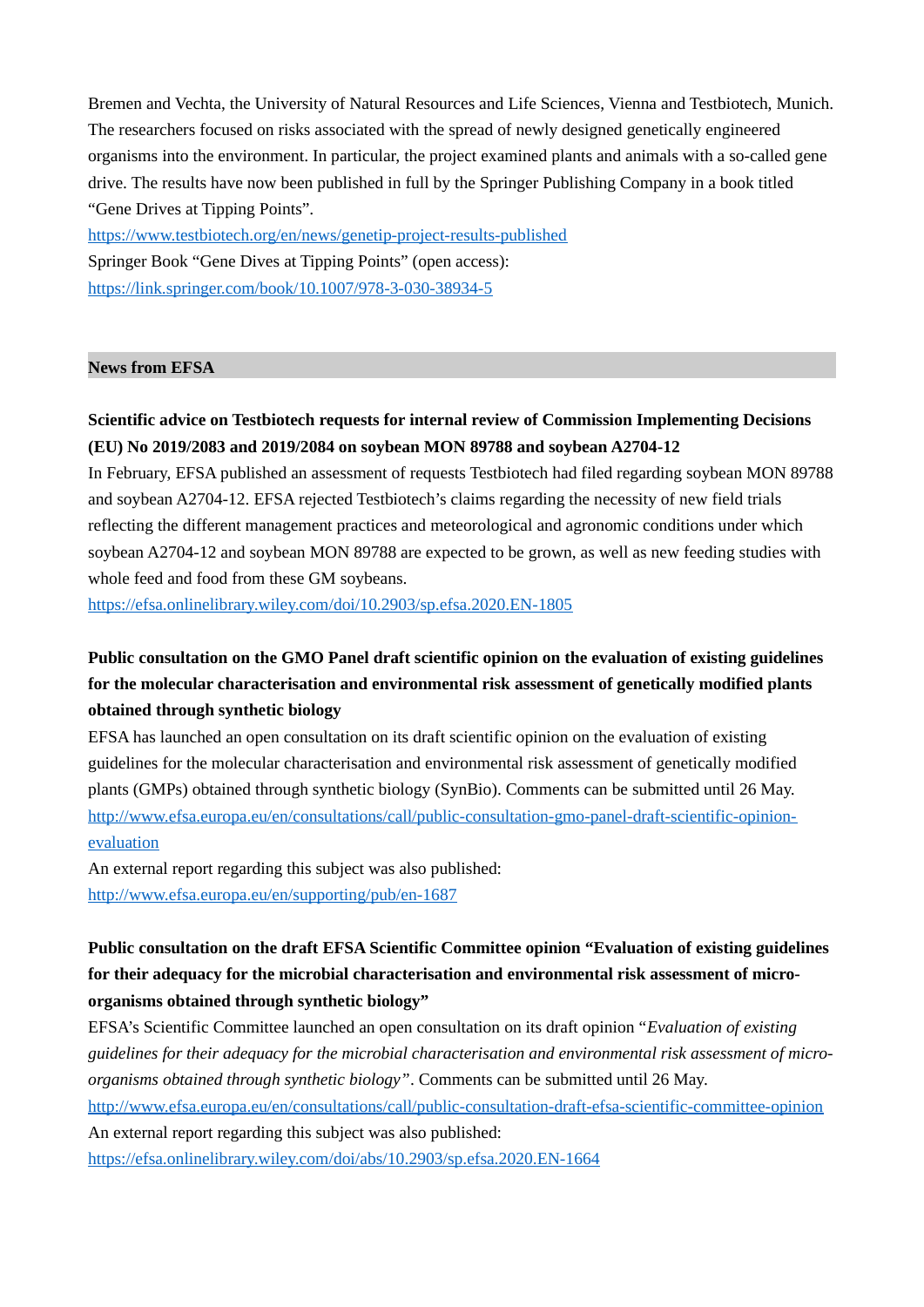Bremen and Vechta, the University of Natural Resources and Life Sciences, Vienna and Testbiotech, Munich. The researchers focused on risks associated with the spread of newly designed genetically engineered organisms into the environment. In particular, the project examined plants and animals with a so-called gene drive. The results have now been published in full by the Springer Publishing Company in a book titled "Gene Drives at Tipping Points".

<https://www.testbiotech.org/en/news/genetip-project-results-published> Springer Book "Gene Dives at Tipping Points" (open access): <https://link.springer.com/book/10.1007/978-3-030-38934-5>

### **News from EFSA**

## **Scientific advice on Testbiotech requests for internal review of Commission Implementing Decisions (EU) No 2019/2083 and 2019/2084 on soybean MON 89788 and soybean A2704‐12**

In February, EFSA published an assessment of requests Testbiotech had filed regarding soybean MON 89788 and soybean A2704‐12. EFSA rejected Testbiotech's claims regarding the necessity of new field trials reflecting the different management practices and meteorological and agronomic conditions under which soybean A2704‐12 and soybean MON 89788 are expected to be grown, as well as new feeding studies with whole feed and food from these GM soybeans.

<https://efsa.onlinelibrary.wiley.com/doi/10.2903/sp.efsa.2020.EN-1805>

# **Public consultation on the GMO Panel draft scientific opinion on the evaluation of existing guidelines for the molecular characterisation and environmental risk assessment of genetically modified plants obtained through synthetic biology**

EFSA has launched an open consultation on its draft scientific opinion on the evaluation of existing guidelines for the molecular characterisation and environmental risk assessment of genetically modified plants (GMPs) obtained through synthetic biology (SynBio). Comments can be submitted until 26 May. [http://www.efsa.europa.eu/en/consultations/call/public-consultation-gmo-panel-draft-scientific-opinion](http://www.efsa.europa.eu/en/consultations/call/public-consultation-gmo-panel-draft-scientific-opinion-evaluation)[evaluation](http://www.efsa.europa.eu/en/consultations/call/public-consultation-gmo-panel-draft-scientific-opinion-evaluation)

An external report regarding this subject was also published: <http://www.efsa.europa.eu/en/supporting/pub/en-1687>

# **Public consultation on the draft EFSA Scientific Committee opinion "Evaluation of existing guidelines for their adequacy for the microbial characterisation and environmental risk assessment of microorganisms obtained through synthetic biology"**

EFSA's Scientific Committee launched an open consultation on its draft opinion "*Evaluation of existing guidelines for their adequacy for the microbial characterisation and environmental risk assessment of microorganisms obtained through synthetic biology"*. Comments can be submitted until 26 May.

<http://www.efsa.europa.eu/en/consultations/call/public-consultation-draft-efsa-scientific-committee-opinion>

An external report regarding this subject was also published:

<https://efsa.onlinelibrary.wiley.com/doi/abs/10.2903/sp.efsa.2020.EN-1664>